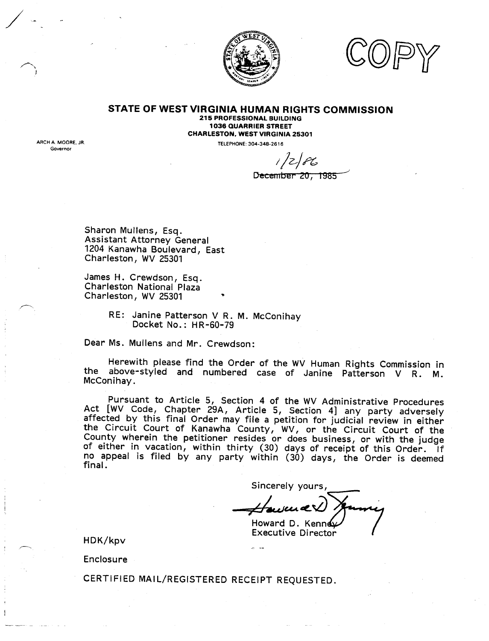

#### **STATE OF WEST VIRGINIA HUMAN RIGHTS COMMISSION 215 PROFESSIONAL BUILDING**

**1036 QUARRIER STREET CHARLESTON, WEST VIRGINIA 25301**

TELEPHONE: 304-348-2616

*I/Z/e ...*<br>December 20, 1985

Sharon Mullens, Esq. Assistant Attorney General 1204 Kanawha Boulevard, East Charleston, WV 25301

/

ARCH A MOORE JR

Governor

James H. Crewdson, Esq. Charleston National Plaza Charleston, WV 25301

> RE: Janine Patterson V R. M. McConihay Docket No.: HR-60-79

Dear Ms. Mullens and Mr. Crewdson:

Herewith please find the Order of the WV Human Rights Commission in the above-styled and numbered case of Janine Patterson V R. M. McConihay.

Pursuant to Article 5, Section 4 of the WV Administrative Procedures Act [WV Code, Chapter 29A, Article 5, Section 4] any party adversely affected by this final Order may file a petition for judicial review in either the Circuit Court of Kanawha County, WV, or the Circuit Court of the County wherein the petitioner resides or does business, or with the judge of either in vacation, within thirty (30) days of receipt of this Order. If no appeal is filed by any party within (30) days, the Order is deemed final.

Sincerely yours,

Howard D. Kenn

Executive Director

HDK/kpv

Enclosure

CERTIFIED MAIL/REGISTERED RECEIPT REQUESTED.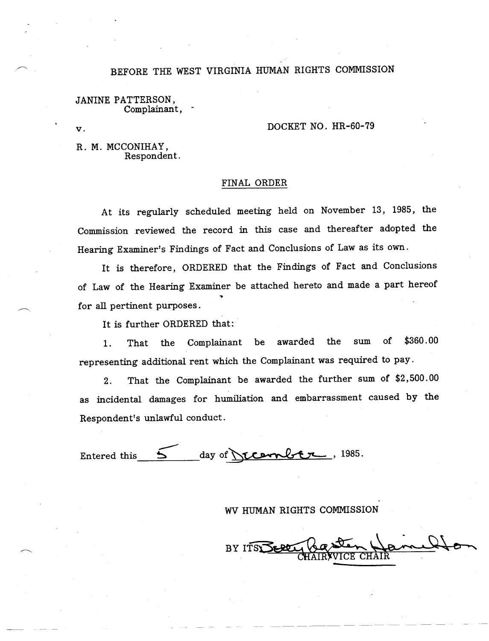# BEFORE THE WEST VIRGINIA HUMAN RIGHTS COMMISSION

JANINE PATTERSON, Complainant,

#### $\overline{\mathbf{v}}$ .

## DOCKET NO. HR-60-79

R. M. MCCONIHAY, Respondent.

### FINAL ORDER

At its regularly scheduled meeting held on November 13, 1985, the Commission reviewed the record in this case and thereafter adopted the Hearing Examiner's Findings of Fact and Conclusions of Law as its own.

It is therefore, ORDERED that the Findings of Fact and Conclusions of Law of the Hearing Examiner be attached hereto and made a part hereof for all pertinent purposes.

It is further ORDERED that:

1. That the Complainant be awarded the sum of \$360.00 representing additional rent which the Complainant was required to pay.

2. That the Complainant be awarded the further sum of \$2,500.00 as incidental damages for humiliation and embarrassment caused by the Respondent's unlawful conduct.

Entered this  $5$  day of <u>recorriber</u>, 1985.

## WV HUMAN RIGHTS COMMISSION

BY ITS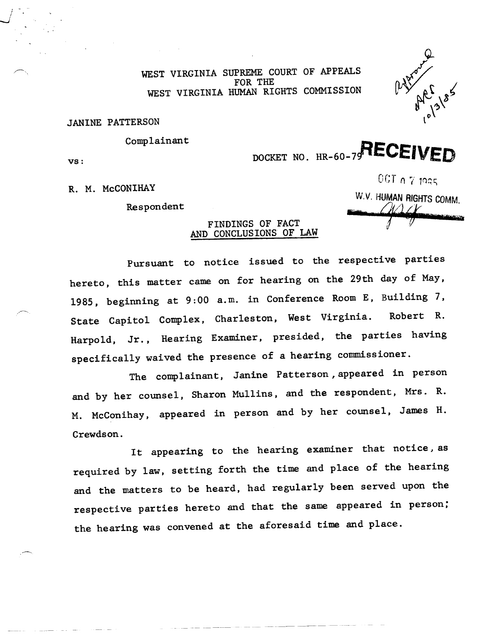WEST VIRGINIA SUPREME COURT OF APPEALS<br>FOR THE 'OR THE<br>BIAN BICL EST VIRGINIA HUMAN RIGHTS COMMISSION



JANINE PATTERSON

Complainant

 $\overline{\mathbf{v}}$ s:

*I - -.J*

DOCKET NO. HR-60-79 RECEIVED

R. M. McCONIHAY

Respondent

 $0$ GT  $\alpha$   $7$  1925 *W.V.* HUMAN RIGHTS COMM  $-926$ 

## FINDINGS OF FACT AND CONCLUSIONS OF LAW

Pursuant to notice issued to the respective parties hereto, this matter came on for hearing on the 29th day of May, 1985, beginning at 9:00 a.m. in Conference Room E, Building 7, State Capitol Complex, Charleston, West Virginia. Robert R. Harpold, Jr., Hearing Examiner, presided, the parties having specifically waived the presence of a hearing commissioner.

The complainant, Janine Patterson, appeared in person and by her counsel, Sharon Mullins, and the respondent, Mrs. R. M. McConihay, appeared in person and by her counsel, James H. Crewdson.

It appearing to the hearing examiner that notice, as required by law, setting forth the time and place of the hearing and the matters to be heard, had regularly been served upon the respective parties hereto and that the same appeared in person; the hearing was convened at the aforesaid time and place.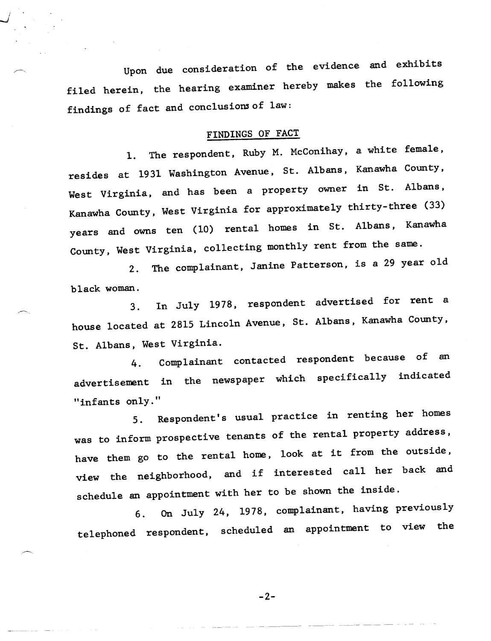Upon due consideration of the evidence and exhibits filed herein, the hearing examiner hereby makes the following findings of fact and conclusions of law:

*.... j*

#### FINDINGS OF FACT

1. The respondent, Ruby M. McConihay, a white female, resides at 1931 Washington Avenue, St. Albans, Kanawha County, West Virginia, and has been a property owner in St. Albans, Kanawha County, West Virginia for approximately thirty-three (33) years and owns ten (10) rental homes in St. Albans, Kanawha County, West Virginia, collecting monthly rent from the same.

2. The complainant, Janine Patterson, is a 29 year old black woman.

3. In July 1978, respondent advertised for rent a house located at 2815 Lincoln Avenue, St. Albans, Kanawha County, St. Albans, West Virginia.

4. Complainant contacted respondent because of an advertisement in the newspaper which specifically indicated "infants only."

5. Respondent's usual practice in renting her homes was to inform prospective tenants of the rental property address, have them go to the rental home, look at it from the outside, view the neighborhood, and if interested call her back and schedule an appointment with her to be shown the inside.

6. On July 24, 1978, complainant, having previously telephoned respondent, scheduled an appointment to view the

 $-2-$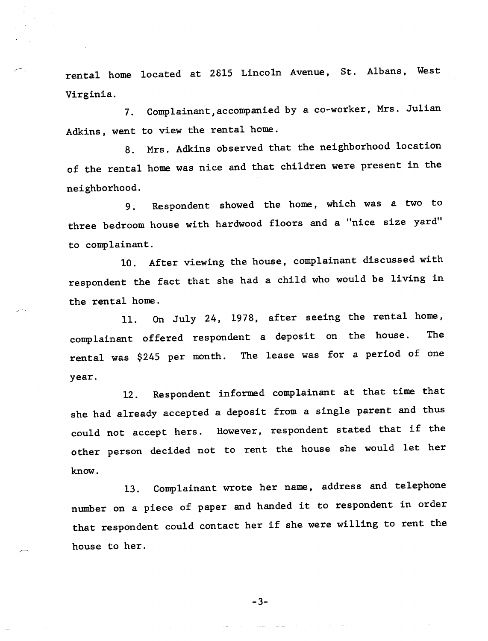rental home located at 2815 Lincoln Avenue, St. Albans, West Virginia.

7. Complainant, accompanied by a co-worker, Mrs. Julian Adkins, went to view the rental home.

8. Mrs. Adkins observed that the neighborhood location of the rental home was nice and that children were present in the neighborhood.

9. Respondent showed the home, which was a two to three bedroom house with hardwood floors and a "nice size yard" to complainant.

10. After viewing the house, complainant discussed with respondent the fact that she had a child who would be living in the rental home.

11. On July 24, 1978, after seeing the rental home, complainant offered respondent a deposit on the house. The rental was \$245 per month. The lease was for a period of one year.

12. Respondent informed complainant at that time that she had already accepted a deposit from a single parent and thus could not accept hers. However, respondent stated that if the other person decided not to rent the house she would let her know.

13. Complainant wrote her name, address and telephone number on a piece of paper and handed it to respondent in order that respondent could contact her if she were willing to rent the house to her.

 $-3-$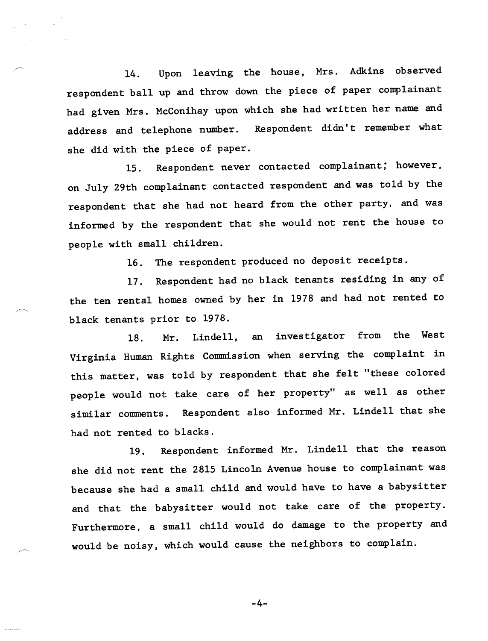14. Upon leaving the house, Mrs. Adkins observed respondent ball up and throw down the piece of paper complainant had given Mrs. McConihay upon which she had written her name and address and telephone number. Respondent didn't remember what she did with the piece of paper.

15. Respondent never contacted complainant; however, on July 29th complainant contacted respondent and was told by the respondent that she had not heard from the other party, and was informed by the respondent that she would not rent the house to people with small children.

16. The respondent produced no deposit receipts.

17. Respondent had no black tenants residing in any of the ten rental homes owned by her in 1978 and had not rented to black tenants prior to 1978.

18. Mr. Lindell, an investigator from the West Virginia Human Rights Commission when serving the complaint in this matter, was told by respondent that she felt "these colored people would not take care of her property" as well as other similar comments. Respondent also informed Mr. Lindell that she had not rented to blacks.

19. Respondent informed Mr. Lindell that the reason she did not rent the 2815 Lincoln Avenue house to complainant was because she had a small child and would have to have a babysitter and that the babysitter would not take care of the property. Furthermore, a small child would do damage to the property and would be noisy, which would cause the neighbors to complain.

 $-4-$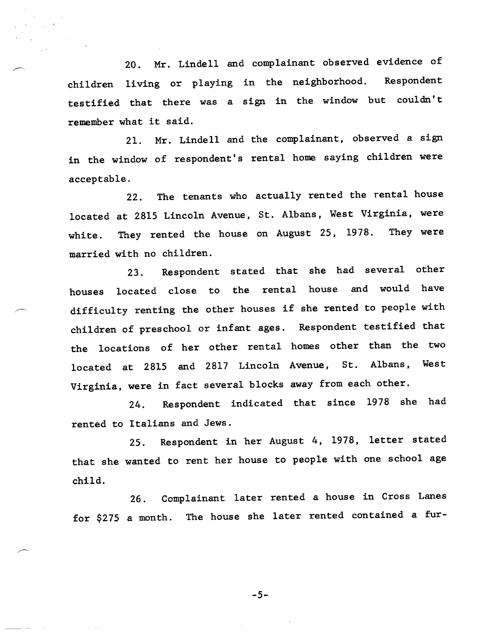20. Mr. Lindell and complainant observed evidence of children living or playing in the neighborhood. Respondent testified that there was a sign in the window but cou1dn't remember what it said.

21. Mr. Lindell and the complainant, observed a sign in the window of respondent's rental home saying children were acceptable.

22. The tenants who actually rented the rental house located at 2815 Lincoln Avenue, St. Albans, West Virginia, were white. They rented the house on August 25, 1978. They were married with no children.

23. Respondent stated that she had several other houses located close to the rental house and would have difficulty renting the other houses if she rented to people with children of preschool or infant ages. Respondent testified that the locations of her other rental homes other than the two located at 2815 and 2817 Lincoln Avenue, St. Albans, West Virginia, were in fact several blocks away from each other.

24. Respondent indicated that since 1978 she had rented to Italians and Jews.

25. Respondent in her August 4, 1978, letter stated that she wanted to rent her house to people with one school age child.

26. Complainant later rented a house in Cross Lanes for \$275 a month. The house she later rented contained a fur-

 $-5-$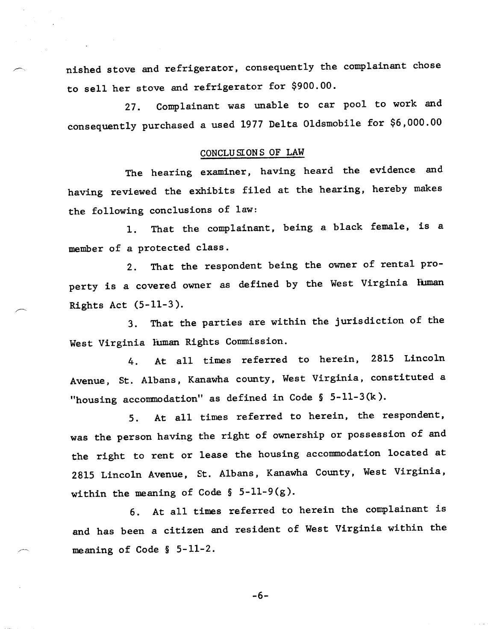nished stove and refrigerator, consequently the complainant chose to sell her stove and refrigerator for \$900.00.

27. Complainant was unable to car pool to work and consequently purchased a used 1977 Delta Oldsmobile for \$6,000.00

## CONCLU srONS OF LAW

The hearing examiner, having heard the evidence and having reviewed the exhibits filed at the hearing, hereby makes the following conclusions of law:

1. That the complainant, being a black female, is a member of a protected class.

2. That the respondent being the owner of rental property is a covered owner as defined by the West Virginia Human Rights Act (5-11-3).

3. That the parties are within the jurisdiction of the West Virginia Euman Rights Commission.

4. At all times referred to herein, 2815 Lincoln Avenue, St. Albans, Kanawha county, West Virginia, constituted a "housing accommodation" as defined in Code § 5-ll-3(k).

5. At all times referred to herein, the respondent, was the person having the right of ownership or possession of and the right to rent or lease the housing accommodation located at 2815 Lincoln Avenue, St. Albans, Kanawha County, West Virginia, within the meaning of Code  $\S$  5-11-9(g).

6. At all times referred to herein the complainant is and has been a citizen and resident of West Virginia within the meaning of Code  $\S$  5-11-2.

 $-6-$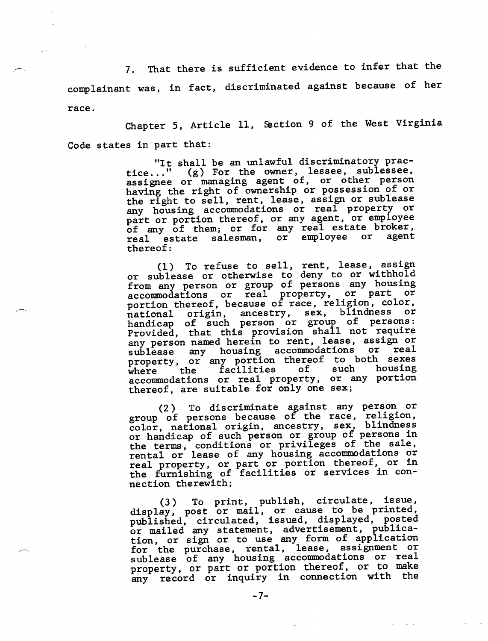That there is sufficient evidence to infer that the 7. complainant was, in fact, discriminated against because of her race.

Chapter 5, Article 11, Section 9 of the West Virginia Code states in part that:

> "It shall be an unlawful discriminatory practice..." (g) For the owner, lessee, sublessee assignee or managing agent of, or other person having the right of ownership or possession of or the right to sell, rent, lease, assign or sublease any housing accommodations or real property or hart or portion thereof, or any agent, or employee of any of them; or for any real estate broker, real estate salesman, or employee or agent thereof:

> $(1)$  To refuse to sell, rent, lease, assign or sublease or otherwise to deny to or withhold from any person or group of persons any housing accommodations or real property, or part of portion thereof, because of race, religion, color national origin, ancestry, sex, blindness or handicap of such person or group of persons Provided, that this provision shall not require any person named herein to rent, lease, assign or sublease any housing accommodations or real property, or any portion thereof to both sexes property, or any portrol energy such housing where the facilities of such housing<br>accommodations or real property, or any portion thereof, are suitable for only one sex;

> (2) To discriminate against any person or group of persons because of the race, religion, color, national origin, ancestry, sex, blindness color, hational origin, dressel, som, remember or group of persons in of handicap of such person of group of persons. rental or lease of any housing accommodations or real property, or part or portion thereof, or i the furnishing of facilities or services in connection therewith;

> (3) To print, publish, circulate, issue, (3) To princ, publish, cricurate, 2004<br>display, post or mail, or cause to be printe quispiay, post of mail, of cadde to be primited<br>published, circulated, issued, displayed, poste published, circulated, issued, displayed, posses or maried any statement, advertiblement, permitfor the purchase, rental, lease, assignment or for the purchase, fental, fease, assignment. property, or part or portion thereof, or to make any record or inquiry in connection with the

> > $-7-$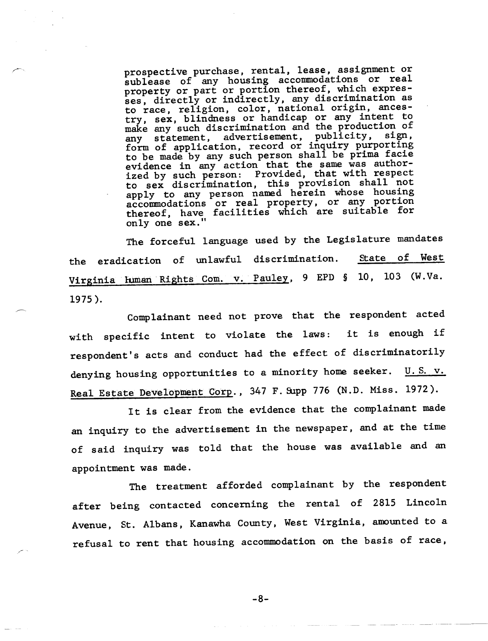prospective purchase, rental, lease, assignment or ublease of any housing accommodations of real property or part or portion thereof, which expresses, directly or indirectly, any discrimination as to race, religion, color, national origin, ancestry, sex, blindness or handicap or any intent to make any such discrimination and the production of my statement, advertisement, publicity, sign, form of application, record or inquiry purporting to be made by any such person shall be prima facie evidence in any action that the same was authorized by such person: Provided, that with respect to sex discrimination, this provision shall not apply to any person named herein whose housing accommodations or real property, or any portion thereof, have facilities which are suitable for only one sex."

The forceful language used by the Legislature mandates State of the eradication of unlawful discrimination. West Virginia Human Rights Com. v. Pauley, 9 EPD § 10, 103 (W.Va. 1975 ).

Complainant need not prove that the respondent acted it is enough if with specific intent to violate the laws: respondent's acts and conduct had the effect of discriminatori1y denying housing opportunities to a minority home seeker.  $\underline{\text{U.S. v.}}$ Real Estate Development Corp., 347 F. Supp 776 (N.D. Miss. 1972).

It is clear from the evidence that the complainant made an inquiry to the advertisement in the newspaper, and at the time of said inquiry was told that the house was available and an appointment was made.

The treatment afforded complainant by the respondent after being contacted concerning the rental of 2815 Lincoln Avenue, St. Albans, Kanawha County, West Virginia, amounted to a refusal to rent that housing accommodation on the basis of race,

 $-8-$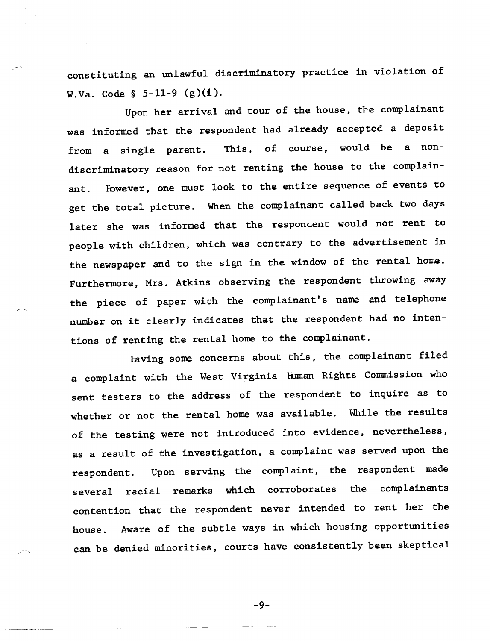constituting an unlawful discriminatory practice in violation of W.Va. Code §  $5-11-9$  (g)(1).

Upon her arrival and tour of the house, the complainant was informed that the respondent had already accepted a deposit from a single parent. This, of course, would be a nondiscriminatory reason for not renting the house to the complainant. Eowever, one must look to the entire sequence of events to get the total picture. When the complainant called back two days later she was informed that the respondent would not rent to people with children, which was contrary to the advertisement in the newspaper and to the sign in the window of the rental home. Furthermore, Mrs. Atkins observing the respondent throwing away the piece of paper with the complainant's name and telephone number on it clearly indicates that the respondent had no intentions of renting the rental home to the complainant.

Having some concerns about this, the complainant filed a complaint with the West Virginia Human Rights Commission who sent testers to the address of the respondent to inquire as to whether or not the rental home was available. While the results of the testing were not introduced into evidence, nevertheless, as a result of the investigation, a complaint was served upon the respondent. Upon serving the complaint, the respondent made several racial remarks which corroborates the complainants contention that the respondent never intended to rent her the house. Aware of the subtle ways in which housing opportunities can be denied minorities, courts have consistently been skeptical

-9-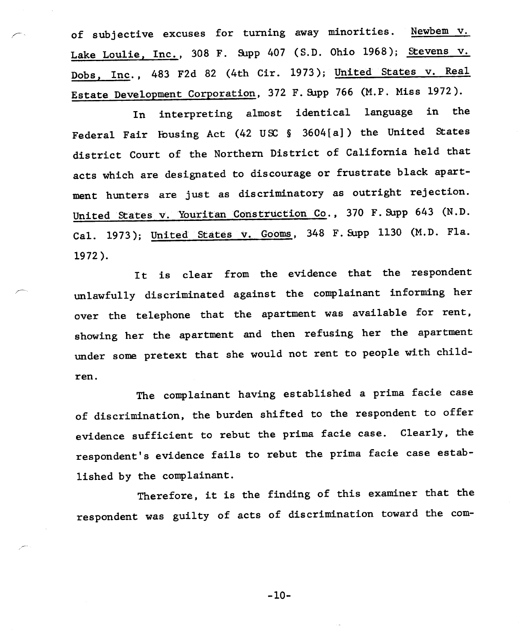of subjective excuses for turning away minorities. Newbem  $v$ . Lake Loulie, Inc., 308 F. Supp 407 (S.D. Ohio 1968); Stevens v. Dobs, Inc., 483 F2d 82 (4th Cir. 1973); United States v. Real Estate Development Corporation, 372 F. Supp 766 (M.P. Miss 1972).

In interpreting almost identical language in the Federal Fair lbusing Act (42 USC § 3604[a]) the United States district Court of the Northern District of California held that acts which are designated to discourage or frustrate black apartment hunters are just as discriminatory as outright rejection. United States v. Youritan Construction Co., 370 F. Supp 643 (N.D. Cal. 1973); United States v. Gooms, 348 F. Supp 1130 (M.D. Fla. 1972).

It is clear from the evidence that the respondent unlawfully discriminated against the complainant informing her over the telephone that the apartment was available for rent, showing her the apartment and then refusing her the apartment under some pretext that she would not rent to people with children.

The complainant having established a prima facie case of discrimination, the burden shifted to the respondent to offer evidence sufficient to rebut the prima facie case. Clearly, the respondent's evidence fails to rebut the prima facie case established by the complainant.

Therefore, it is the finding of this examiner that the respondent was guilty of acts of discrimination toward the com-

 $-10-$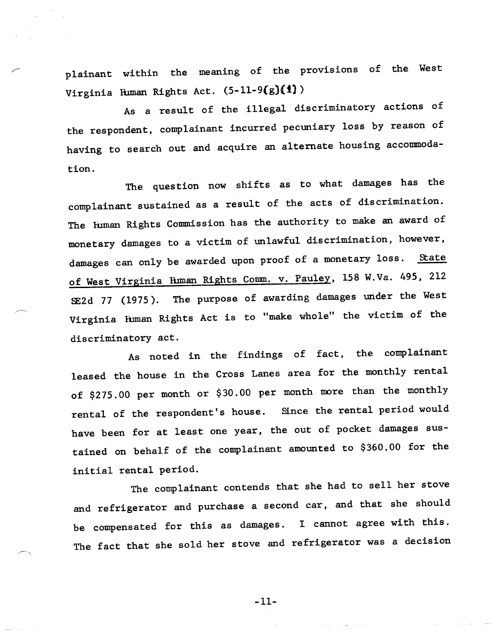p1ainant within the meaning of the provisions of the West Virginia Hwman Rights Act. (5-11-9(g)(1))

As a result of the illegal discriminatory actions of the respondent, complainant incurred pecuniary loss by reason of having to search out and acquire an alternate housing accommodation.

The question now shifts as to what damages has the complainant sustained as a result of the acts of discrimination. The Euman Rights Commission has the authority to make an award of monetary damages to a victim of unlawful discrimination, however, damages can only be awarded upon proof of a monetary loss. State of West Virginia Human Rights Comm. v. Pauley, 158 W.Va. 495, 212 SE2d 77 (1975). The purpose of awarding damages under the West Virginia Fuman Rights Act is to "make whole" the victim of the discriminatory act.

As noted in the findings of fact, the complainant leased the house in the Cross Lanes area for the monthly rental of \$275.00 per month or \$30.00 per month more than the monthly rental of the respondent's house. Since the rental period would have been for at least one year, the out of pocket damages sustained on behalf of the complainant amounted to \$360.00 for the initial rental period.

The complainant contends that she had to sell her stove and refrigerator and purchase a second car, and that she should be compensated for this as damages. I cannot agree with this. The fact that she sold her stove and refrigerator was a decision

 $-11-$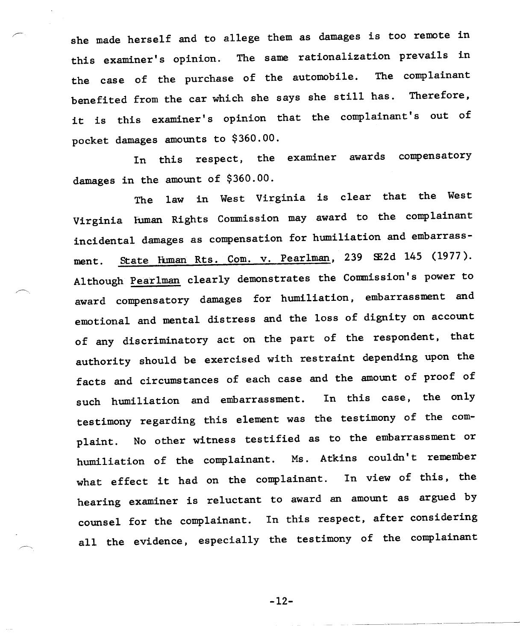she made herself and to allege them as damages is too remote in this examiner's opinion. The same rationalization prevails in the case of the purchase of the automobile. The complainant benefited from the car which she says she still has. Therefore, it is this examiner's opinion that the complainant's out of pocket damages amounts to \$360.00.

In this respect, the examiner awards compensatory damages in the amount of \$360.00.

The law in West Virginia is clear that the West Virginia fuman Rights Comnission may award to the complainant incidental damages as compensation for humiliation and embarrassment. State Human Rts. Com. v. Pearlman, 239 SE2d 145 (1977). Although Pearlman clearly demonstrates the Commission's power to award compensatory damages for humiliation, embarrassment and emotional and mental distress and the loss of dignity on account of any discriminatory act on the part of the respondent, that authority should be exercised with restraint depending upon the facts and circumstances of each case and the amount of proof of such humiliation and embarrassment. In this case, the only testimony regarding this element was the testimony of the complaint. No other witness testified as to the embarrassment or humiliation of the complainant. Ms. Atkins couldn't remember what effect it had on the complainant. In view of this, the hearing examiner is reluctant to award an amount as argued by counsel for the complainant. In this respect, after considering all the evidence, especially the testimony of the complainant

 $-12-$